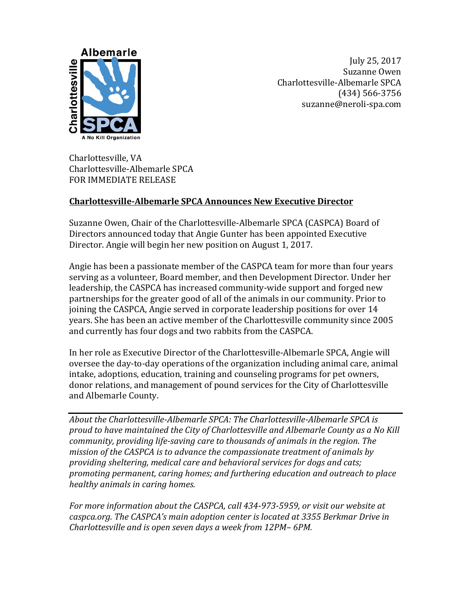

July 25, 2017 Suzanne Owen Charlottesville-Albemarle SPCA (434) 566-3756 suzanne@neroli-spa.com

Charlottesville, VA Charlottesville-Albemarle SPCA FOR IMMEDIATE RELEASE

## **Charlottesville-Albemarle SPCA Announces New Executive Director**

Suzanne Owen, Chair of the Charlottesville-Albemarle SPCA (CASPCA) Board of Directors announced today that Angie Gunter has been appointed Executive Director. Angie will begin her new position on August 1, 2017.

Angie has been a passionate member of the CASPCA team for more than four years serving as a volunteer, Board member, and then Development Director. Under her leadership, the CASPCA has increased community-wide support and forged new partnerships for the greater good of all of the animals in our community. Prior to joining the CASPCA, Angie served in corporate leadership positions for over 14 years. She has been an active member of the Charlottesville community since 2005 and currently has four dogs and two rabbits from the CASPCA.

In her role as Executive Director of the Charlottesville-Albemarle SPCA, Angie will oversee the day-to-day operations of the organization including animal care, animal intake, adoptions, education, training and counseling programs for pet owners, donor relations, and management of pound services for the City of Charlottesville and Albemarle County.

*About the Charlottesville-Albemarle SPCA: The Charlottesville-Albemarle SPCA is proud to have maintained the City of Charlottesville and Albemarle County as a No Kill community, providing life-saving care to thousands of animals in the region. The mission of the CASPCA is to advance the compassionate treatment of animals by providing sheltering, medical care and behavioral services for dogs and cats; promoting permanent, caring homes; and furthering education and outreach to place healthy animals in caring homes.*

*For more information about the CASPCA, call 434-973-5959, or visit our website at caspca.org. The CASPCA's main adoption center is located at 3355 Berkmar Drive in Charlottesville and is open seven days a week from 12PM– 6PM.*